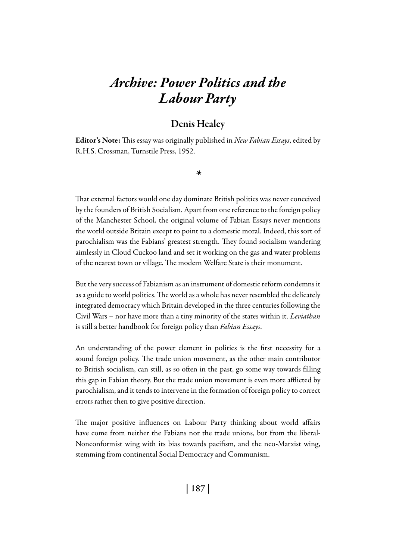# *Archive: Power Politics and the Labour Party*

### Denis Healey

Editor's Note: This essay was originally published in *New Fabian Essays*, edited by R.H.S. Crossman, Turnstile Press, 1952.

*\**

That external factors would one day dominate British politics was never conceived by the founders of British Socialism. Apart from one reference to the foreign policy of the Manchester School, the original volume of Fabian Essays never mentions the world outside Britain except to point to a domestic moral. Indeed, this sort of parochialism was the Fabians' greatest strength. They found socialism wandering aimlessly in Cloud Cuckoo land and set it working on the gas and water problems of the nearest town or village. The modern Welfare State is their monument.

But the very success of Fabianism as an instrument of domestic reform condemns it as a guide to world politics. The world as a whole has never resembled the delicately integrated democracy which Britain developed in the three centuries following the Civil Wars – nor have more than a tiny minority of the states within it. *Leviathan* is still a better handbook for foreign policy than *Fabian Essays*.

An understanding of the power element in politics is the first necessity for a sound foreign policy. The trade union movement, as the other main contributor to British socialism, can still, as so often in the past, go some way towards filling this gap in Fabian theory. But the trade union movement is even more afflicted by parochialism, and it tends to intervene in the formation of foreign policy to correct errors rather then to give positive direction.

The major positive influences on Labour Party thinking about world affairs have come from neither the Fabians nor the trade unions, but from the liberal-Nonconformist wing with its bias towards pacifism, and the neo-Marxist wing, stemming from continental Social Democracy and Communism.

| 187 |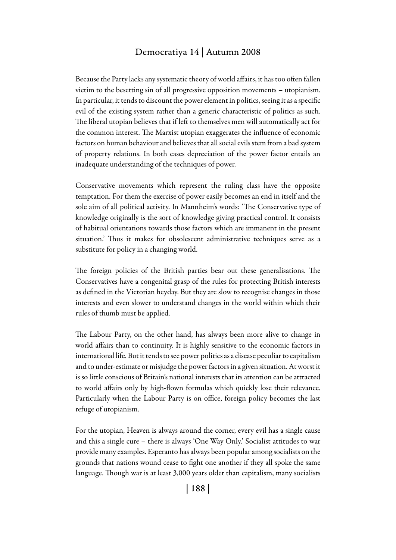Because the Party lacks any systematic theory of world affairs, it has too often fallen victim to the besetting sin of all progressive opposition movements – utopianism. In particular, it tends to discount the power element in politics, seeing it as a specific evil of the existing system rather than a generic characteristic of politics as such. The liberal utopian believes that if left to themselves men will automatically act for the common interest. The Marxist utopian exaggerates the influence of economic factors on human behaviour and believes that all social evils stem from a bad system of property relations. In both cases depreciation of the power factor entails an inadequate understanding of the techniques of power.

Conservative movements which represent the ruling class have the opposite temptation. For them the exercise of power easily becomes an end in itself and the sole aim of all political activity. In Mannheim's words: 'The Conservative type of knowledge originally is the sort of knowledge giving practical control. It consists of habitual orientations towards those factors which are immanent in the present situation.' Thus it makes for obsolescent administrative techniques serve as a substitute for policy in a changing world.

The foreign policies of the British parties bear out these generalisations. The Conservatives have a congenital grasp of the rules for protecting British interests as defined in the Victorian heyday. But they are slow to recognise changes in those interests and even slower to understand changes in the world within which their rules of thumb must be applied.

The Labour Party, on the other hand, has always been more alive to change in world affairs than to continuity. It is highly sensitive to the economic factors in international life. But it tends to see power politics as a disease peculiar to capitalism and to under-estimate or misjudge the power factors in a given situation. At worst it is so little conscious of Britain's national interests that its attention can be attracted to world affairs only by high-flown formulas which quickly lose their relevance. Particularly when the Labour Party is on office, foreign policy becomes the last refuge of utopianism.

For the utopian, Heaven is always around the corner, every evil has a single cause and this a single cure – there is always 'One Way Only.' Socialist attitudes to war provide many examples. Esperanto has always been popular among socialists on the grounds that nations wound cease to fight one another if they all spoke the same language. Though war is at least 3,000 years older than capitalism, many socialists

| 188 |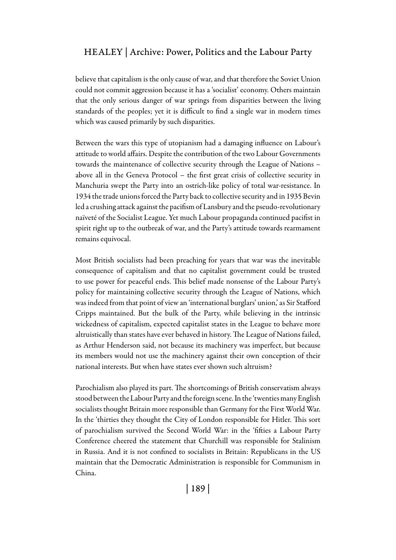## Healey | Archive: Power, Politics and the Labour Party

believe that capitalism is the only cause of war, and that therefore the Soviet Union could not commit aggression because it has a 'socialist' economy. Others maintain that the only serious danger of war springs from disparities between the living standards of the peoples; yet it is difficult to find a single war in modern times which was caused primarily by such disparities.

Between the wars this type of utopianism had a damaging influence on Labour's attitude to world affairs. Despite the contribution of the two Labour Governments towards the maintenance of collective security through the League of Nations – above all in the Geneva Protocol – the first great crisis of collective security in Manchuria swept the Party into an ostrich-like policy of total war-resistance. In 1934 the trade unions forced the Party back to collective security and in 1935 Bevin led a crushing attack against the pacifism of Lansbury and the pseudo-revolutionary naïveté of the Socialist League. Yet much Labour propaganda continued pacifist in spirit right up to the outbreak of war, and the Party's attitude towards rearmament remains equivocal.

Most British socialists had been preaching for years that war was the inevitable consequence of capitalism and that no capitalist government could be trusted to use power for peaceful ends. This belief made nonsense of the Labour Party's policy for maintaining collective security through the League of Nations, which was indeed from that point of view an 'international burglars' union,' as Sir Stafford Cripps maintained. But the bulk of the Party, while believing in the intrinsic wickedness of capitalism, expected capitalist states in the League to behave more altruistically than states have ever behaved in history. The League of Nations failed, as Arthur Henderson said, not because its machinery was imperfect, but because its members would not use the machinery against their own conception of their national interests. But when have states ever shown such altruism?

Parochialism also played its part. The shortcomings of British conservatism always stood between the Labour Party and the foreign scene. In the 'twenties many English socialists thought Britain more responsible than Germany for the First World War. In the 'thirties they thought the City of London responsible for Hitler. This sort of parochialism survived the Second World War: in the 'fifties a Labour Party Conference cheered the statement that Churchill was responsible for Stalinism in Russia. And it is not confined to socialists in Britain: Republicans in the US maintain that the Democratic Administration is responsible for Communism in China.

| 189 |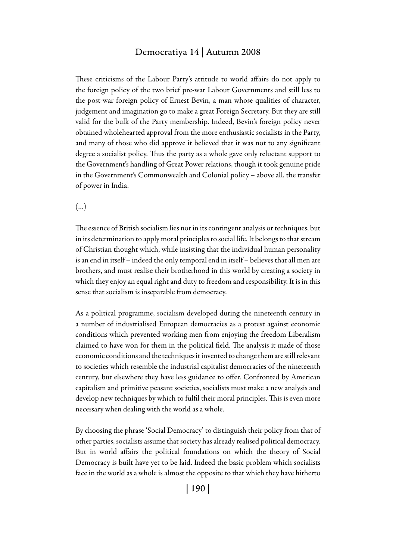These criticisms of the Labour Party's attitude to world affairs do not apply to the foreign policy of the two brief pre-war Labour Governments and still less to the post-war foreign policy of Ernest Bevin, a man whose qualities of character, judgement and imagination go to make a great Foreign Secretary. But they are still valid for the bulk of the Party membership. Indeed, Bevin's foreign policy never obtained wholehearted approval from the more enthusiastic socialists in the Party, and many of those who did approve it believed that it was not to any significant degree a socialist policy. Thus the party as a whole gave only reluctant support to the Government's handling of Great Power relations, though it took genuine pride in the Government's Commonwealth and Colonial policy – above all, the transfer of power in India.

(…)

The essence of British socialism lies not in its contingent analysis or techniques, but in its determination to apply moral principles to social life. It belongs to that stream of Christian thought which, while insisting that the individual human personality is an end in itself – indeed the only temporal end in itself – believes that all men are brothers, and must realise their brotherhood in this world by creating a society in which they enjoy an equal right and duty to freedom and responsibility. It is in this sense that socialism is inseparable from democracy.

As a political programme, socialism developed during the nineteenth century in a number of industrialised European democracies as a protest against economic conditions which prevented working men from enjoying the freedom Liberalism claimed to have won for them in the political field. The analysis it made of those economic conditions and the techniques it invented to change them are still relevant to societies which resemble the industrial capitalist democracies of the nineteenth century, but elsewhere they have less guidance to offer. Confronted by American capitalism and primitive peasant societies, socialists must make a new analysis and develop new techniques by which to fulfil their moral principles. This is even more necessary when dealing with the world as a whole.

By choosing the phrase 'Social Democracy' to distinguish their policy from that of other parties, socialists assume that society has already realised political democracy. But in world affairs the political foundations on which the theory of Social Democracy is built have yet to be laid. Indeed the basic problem which socialists face in the world as a whole is almost the opposite to that which they have hitherto

| 190 |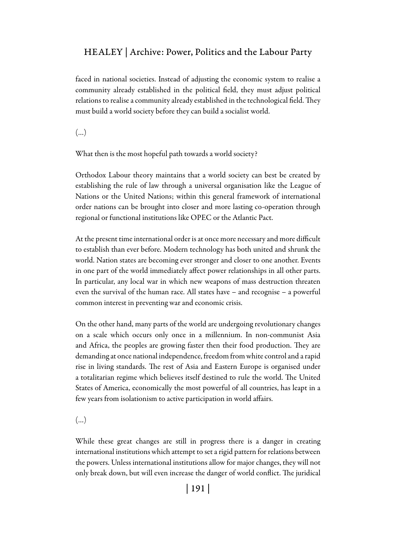## Healey | Archive: Power, Politics and the Labour Party

faced in national societies. Instead of adjusting the economic system to realise a community already established in the political field, they must adjust political relations to realise a community already established in the technological field. They must build a world society before they can build a socialist world.

(…)

What then is the most hopeful path towards a world society?

Orthodox Labour theory maintains that a world society can best be created by establishing the rule of law through a universal organisation like the League of Nations or the United Nations; within this general framework of international order nations can be brought into closer and more lasting co-operation through regional or functional institutions like OPEC or the Atlantic Pact.

At the present time international order is at once more necessary and more difficult to establish than ever before. Modern technology has both united and shrunk the world. Nation states are becoming ever stronger and closer to one another. Events in one part of the world immediately affect power relationships in all other parts. In particular, any local war in which new weapons of mass destruction threaten even the survival of the human race. All states have – and recognise – a powerful common interest in preventing war and economic crisis.

On the other hand, many parts of the world are undergoing revolutionary changes on a scale which occurs only once in a millennium. In non-communist Asia and Africa, the peoples are growing faster then their food production. They are demanding at once national independence, freedom from white control and a rapid rise in living standards. The rest of Asia and Eastern Europe is organised under a totalitarian regime which believes itself destined to rule the world. The United States of America, economically the most powerful of all countries, has leapt in a few years from isolationism to active participation in world affairs.

(…)

While these great changes are still in progress there is a danger in creating international institutions which attempt to set a rigid pattern for relations between the powers. Unless international institutions allow for major changes, they will not only break down, but will even increase the danger of world conflict. The juridical

| 191 |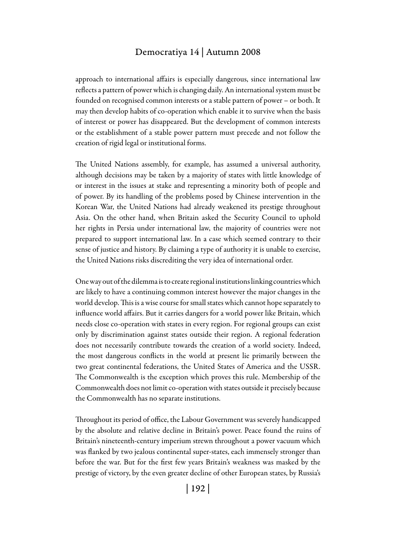approach to international affairs is especially dangerous, since international law reflects a pattern of power which is changing daily. An international system must be founded on recognised common interests or a stable pattern of power – or both. It may then develop habits of co-operation which enable it to survive when the basis of interest or power has disappeared. But the development of common interests or the establishment of a stable power pattern must precede and not follow the creation of rigid legal or institutional forms.

The United Nations assembly, for example, has assumed a universal authority, although decisions may be taken by a majority of states with little knowledge of or interest in the issues at stake and representing a minority both of people and of power. By its handling of the problems posed by Chinese intervention in the Korean War, the United Nations had already weakened its prestige throughout Asia. On the other hand, when Britain asked the Security Council to uphold her rights in Persia under international law, the majority of countries were not prepared to support international law. In a case which seemed contrary to their sense of justice and history. By claiming a type of authority it is unable to exercise, the United Nations risks discrediting the very idea of international order.

One way out of the dilemma is to create regional institutions linking countries which are likely to have a continuing common interest however the major changes in the world develop. This is a wise course for small states which cannot hope separately to influence world affairs. But it carries dangers for a world power like Britain, which needs close co-operation with states in every region. For regional groups can exist only by discrimination against states outside their region. A regional federation does not necessarily contribute towards the creation of a world society. Indeed, the most dangerous conflicts in the world at present lie primarily between the two great continental federations, the United States of America and the USSR. The Commonwealth is the exception which proves this rule. Membership of the Commonwealth does not limit co-operation with states outside it precisely because the Commonwealth has no separate institutions.

Throughout its period of office, the Labour Government was severely handicapped by the absolute and relative decline in Britain's power. Peace found the ruins of Britain's nineteenth-century imperium strewn throughout a power vacuum which was flanked by two jealous continental super-states, each immensely stronger than before the war. But for the first few years Britain's weakness was masked by the prestige of victory, by the even greater decline of other European states, by Russia's

| 192 |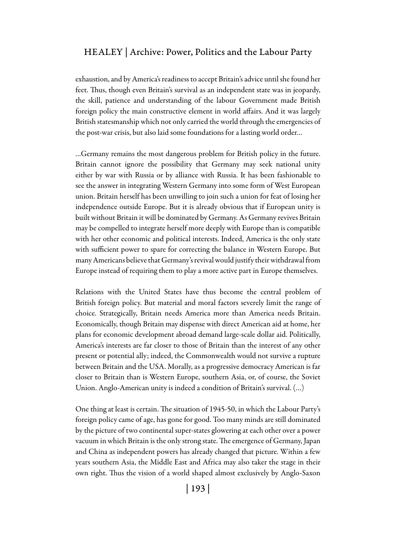#### Healey | Archive: Power, Politics and the Labour Party

exhaustion, and by America's readiness to accept Britain's advice until she found her feet. Thus, though even Britain's survival as an independent state was in jeopardy, the skill, patience and understanding of the labour Government made British foreign policy the main constructive element in world affairs. And it was largely British statesmanship which not only carried the world through the emergencies of the post-war crisis, but also laid some foundations for a lasting world order…

…Germany remains the most dangerous problem for British policy in the future. Britain cannot ignore the possibility that Germany may seek national unity either by war with Russia or by alliance with Russia. It has been fashionable to see the answer in integrating Western Germany into some form of West European union. Britain herself has been unwilling to join such a union for feat of losing her independence outside Europe. But it is already obvious that if European unity is built without Britain it will be dominated by Germany. As Germany revives Britain may be compelled to integrate herself more deeply with Europe than is compatible with her other economic and political interests. Indeed, America is the only state with sufficient power to spare for correcting the balance in Western Europe. But many Americans believe that Germany's revival would justify their withdrawal from Europe instead of requiring them to play a more active part in Europe themselves.

Relations with the United States have thus become the central problem of British foreign policy. But material and moral factors severely limit the range of choice. Strategically, Britain needs America more than America needs Britain. Economically, though Britain may dispense with direct American aid at home, her plans for economic development abroad demand large-scale dollar aid. Politically, America's interests are far closer to those of Britain than the interest of any other present or potential ally; indeed, the Commonwealth would not survive a rupture between Britain and the USA. Morally, as a progressive democracy American is far closer to Britain than is Western Europe, southern Asia, or, of course, the Soviet Union. Anglo-American unity is indeed a condition of Britain's survival. (…)

One thing at least is certain. The situation of 1945-50, in which the Labour Party's foreign policy came of age, has gone for good. Too many minds are still dominated by the picture of two continental super-states glowering at each other over a power vacuum in which Britain is the only strong state. The emergence of Germany, Japan and China as independent powers has already changed that picture. Within a few years southern Asia, the Middle East and Africa may also taker the stage in their own right. Thus the vision of a world shaped almost exclusively by Anglo-Saxon

| 193 |